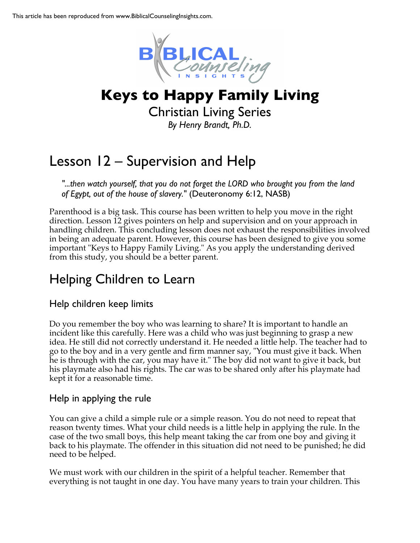

# **Keys to Happy Family Living**

Christian Living Series *By Henry Brandt, Ph.D.*

## Lesson 12 – Supervision and Help

*"...then watch yourself, that you do not forget the LORD who brought you from the land of Egypt, out of the house of slavery."* (Deuteronomy 6:12, NASB)

Parenthood is a big task. This course has been written to help you move in the right direction. Lesson 12 gives pointers on help and supervision and on your approach in handling children. This concluding lesson does not exhaust the responsibilities involved in being an adequate parent. However, this course has been designed to give you some important "Keys to Happy Family Living." As you apply the understanding derived from this study, you should be a better parent.

## Helping Children to Learn

### Help children keep limits

Do you remember the boy who was learning to share? It is important to handle an incident like this carefully. Here was a child who was just beginning to grasp a new idea. He still did not correctly understand it. He needed a little help. The teacher had to go to the boy and in a very gentle and firm manner say, "You must give it back. When he is through with the car, you may have it." The boy did not want to give it back, but his playmate also had his rights. The car was to be shared only after his playmate had kept it for a reasonable time.

### Help in applying the rule

You can give a child a simple rule or a simple reason. You do not need to repeat that reason twenty times. What your child needs is a little help in applying the rule. In the case of the two small boys, this help meant taking the car from one boy and giving it back to his playmate. The offender in this situation did not need to be punished; he did need to be helped.

We must work with our children in the spirit of a helpful teacher. Remember that everything is not taught in one day. You have many years to train your children. This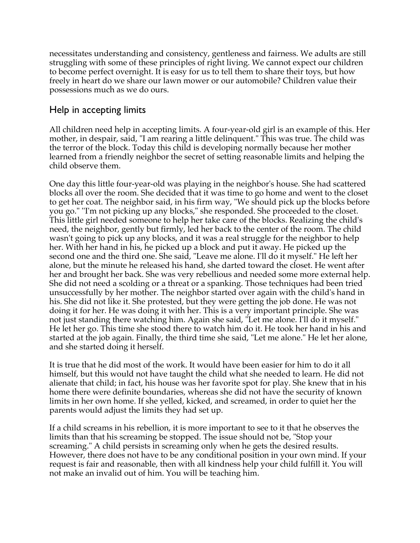necessitates understanding and consistency, gentleness and fairness. We adults are still struggling with some of these principles of right living. We cannot expect our children to become perfect overnight. It is easy for us to tell them to share their toys, but how freely in heart do we share our lawn mower or our automobile? Children value their possessions much as we do ours.

### Help in accepting limits

All children need help in accepting limits. A four-year-old girl is an example of this. Her mother, in despair, said, "I am rearing a little delinquent." This was true. The child was the terror of the block. Today this child is developing normally because her mother learned from a friendly neighbor the secret of setting reasonable limits and helping the child observe them.

One day this little four-year-old was playing in the neighbor's house. She had scattered blocks all over the room. She decided that it was time to go home and went to the closet to get her coat. The neighbor said, in his firm way, "We should pick up the blocks before you go." ''I'm not picking up any blocks," she responded. She proceeded to the closet. This little girl needed someone to help her take care of the blocks. Realizing the child's need, the neighbor, gently but firmly, led her back to the center of the room. The child wasn't going to pick up any blocks, and it was a real struggle for the neighbor to help her. With her hand in his, he picked up a block and put it away. He picked up the second one and the third one. She said, "Leave me alone. I'll do it myself." He left her alone, but the minute he released his hand, she darted toward the closet. He went after her and brought her back. She was very rebellious and needed some more external help. She did not need a scolding or a threat or a spanking. Those techniques had been tried unsuccessfully by her mother. The neighbor started over again with the child's hand in his. She did not like it. She protested, but they were getting the job done. He was not doing it for her. He was doing it with her. This is a very important principle. She was not just standing there watching him. Again she said, "Let me alone. I'll do it myself." He let her go. This time she stood there to watch him do it. He took her hand in his and started at the job again. Finally, the third time she said, "Let me alone." He let her alone, and she started doing it herself.

It is true that he did most of the work. It would have been easier for him to do it all himself, but this would not have taught the child what she needed to learn. He did not alienate that child; in fact, his house was her favorite spot for play. She knew that in his home there were definite boundaries, whereas she did not have the security of known limits in her own home. If she yelled, kicked, and screamed, in order to quiet her the parents would adjust the limits they had set up.

If a child screams in his rebellion, it is more important to see to it that he observes the limits than that his screaming be stopped. The issue should not be, "Stop your screaming." A child persists in screaming only when he gets the desired results. However, there does not have to be any conditional position in your own mind. If your request is fair and reasonable, then with all kindness help your child fulfill it. You will not make an invalid out of him. You will be teaching him.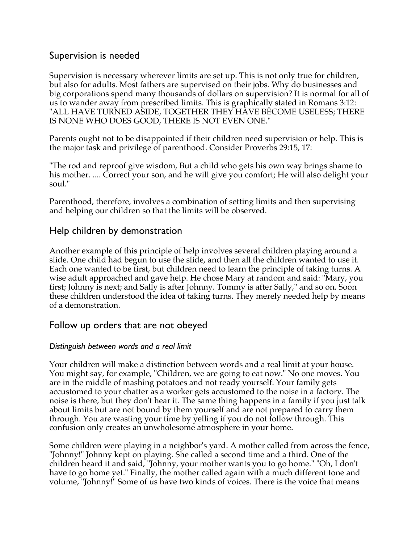### Supervision is needed

Supervision is necessary wherever limits are set up. This is not only true for children, but also for adults. Most fathers are supervised on their jobs. Why do businesses and big corporations spend many thousands of dollars on supervision? It is normal for all of us to wander away from prescribed limits. This is graphically stated in Romans 3:12: "ALL HAVE TURNED ASIDE, TOGETHER THEY HAVE BECOME USELESS; THERE IS NONE WHO DOES GOOD, THERE IS NOT EVEN ONE."

Parents ought not to be disappointed if their children need supervision or help. This is the major task and privilege of parenthood. Consider Proverbs 29:15, 17:

"The rod and reproof give wisdom, But a child who gets his own way brings shame to his mother. .... Correct your son, and he will give you comfort; He will also delight your soul."

Parenthood, therefore, involves a combination of setting limits and then supervising and helping our children so that the limits will be observed.

### Help children by demonstration

Another example of this principle of help involves several children playing around a slide. One child had begun to use the slide, and then all the children wanted to use it. Each one wanted to be first, but children need to learn the principle of taking turns. A wise adult approached and gave help. He chose Mary at random and said: "Mary, you first; Johnny is next; and Sally is after Johnny. Tommy is after Sally," and so on. Soon these children understood the idea of taking turns. They merely needed help by means of a demonstration.

### Follow up orders that are not obeyed

#### *Distinguish between words and a real limit*

Your children will make a distinction between words and a real limit at your house. You might say, for example, "Children, we are going to eat now." No one moves. You are in the middle of mashing potatoes and not ready yourself. Your family gets accustomed to your chatter as a worker gets accustomed to the noise in a factory. The noise is there, but they don't hear it. The same thing happens in a family if you just talk about limits but are not bound by them yourself and are not prepared to carry them through. You are wasting your time by yelling if you do not follow through. This confusion only creates an unwholesome atmosphere in your home.

Some children were playing in a neighbor's yard. A mother called from across the fence, "Johnny!" Johnny kept on playing. She called a second time and a third. One of the children heard it and said, "Johnny, your mother wants you to go home." "Oh, I don't have to go home yet." Finally, the mother called again with a much different tone and volume, "Johnny!" Some of us have two kinds of voices. There is the voice that means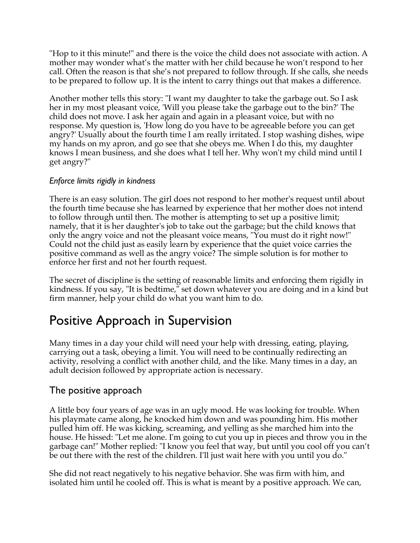"Hop to it this minute!" and there is the voice the child does not associate with action. A mother may wonder what's the matter with her child because he won't respond to her call. Often the reason is that she's not prepared to follow through. If she calls, she needs to be prepared to follow up. It is the intent to carry things out that makes a difference.

Another mother tells this story: "I want my daughter to take the garbage out. So I ask her in my most pleasant voice, 'Will you please take the garbage out to the bin?' The child does not move. I ask her again and again in a pleasant voice, but with no response. My question is, 'How long do you have to be agreeable before you can get angry?' Usually about the fourth time I am really irritated. I stop washing dishes, wipe my hands on my apron, and go see that she obeys me. When I do this, my daughter knows I mean business, and she does what I tell her. Why won't my child mind until I get angry?"

#### *Enforce limits rigidly in kindness*

There is an easy solution. The girl does not respond to her mother's request until about the fourth time because she has learned by experience that her mother does not intend to follow through until then. The mother is attempting to set up a positive limit; namely, that it is her daughter's job to take out the garbage; but the child knows that only the angry voice and not the pleasant voice means, "You must do it right now!" Could not the child just as easily learn by experience that the quiet voice carries the positive command as well as the angry voice? The simple solution is for mother to enforce her first and not her fourth request.

The secret of discipline is the setting of reasonable limits and enforcing them rigidly in kindness. If you say, "It is bedtime," set down whatever you are doing and in a kind but firm manner, help your child do what you want him to do.

## Positive Approach in Supervision

Many times in a day your child will need your help with dressing, eating, playing, carrying out a task, obeying a limit. You will need to be continually redirecting an activity, resolving a conflict with another child, and the like. Many times in a day, an adult decision followed by appropriate action is necessary.

#### The positive approach

A little boy four years of age was in an ugly mood. He was looking for trouble. When his playmate came along, he knocked him down and was pounding him. His mother pulled him off. He was kicking, screaming, and yelling as she marched him into the house. He hissed: "Let me alone. I'm going to cut you up in pieces and throw you in the garbage can!" Mother replied: "I know you feel that way, but until you cool off you can't be out there with the rest of the children. I'll just wait here with you until you do."

She did not react negatively to his negative behavior. She was firm with him, and isolated him until he cooled off. This is what is meant by a positive approach. We can,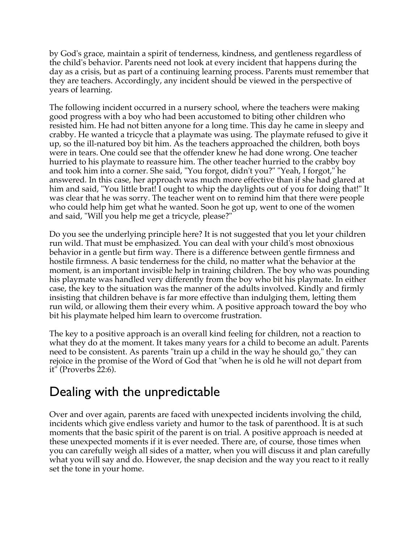by God's grace, maintain a spirit of tenderness, kindness, and gentleness regardless of the child's behavior. Parents need not look at every incident that happens during the day as a crisis, but as part of a continuing learning process. Parents must remember that they are teachers. Accordingly, any incident should be viewed in the perspective of years of learning.

The following incident occurred in a nursery school, where the teachers were making good progress with a boy who had been accustomed to biting other children who resisted him. He had not bitten anyone for a long time. This day he came in sleepy and crabby. He wanted a tricycle that a playmate was using. The playmate refused to give it up, so the ill-natured boy bit him. As the teachers approached the children, both boys were in tears. One could see that the offender knew he had done wrong. One teacher hurried to his playmate to reassure him. The other teacher hurried to the crabby boy and took him into a corner. She said, "You forgot, didn't you?" "Yeah, I forgot," he answered. In this case, her approach was much more effective than if she had glared at him and said, "You little brat! I ought to whip the daylights out of you for doing that!" It was clear that he was sorry. The teacher went on to remind him that there were people who could help him get what he wanted. Soon he got up, went to one of the women and said, "Will you help me get a tricycle, please?"

Do you see the underlying principle here? It is not suggested that you let your children run wild. That must be emphasized. You can deal with your child's most obnoxious behavior in a gentle but firm way. There is a difference between gentle firmness and hostile firmness. A basic tenderness for the child, no matter what the behavior at the moment, is an important invisible help in training children. The boy who was pounding his playmate was handled very differently from the boy who bit his playmate. In either case, the key to the situation was the manner of the adults involved. Kindly and firmly insisting that children behave is far more effective than indulging them, letting them run wild, or allowing them their every whim. A positive approach toward the boy who bit his playmate helped him learn to overcome frustration.

The key to a positive approach is an overall kind feeling for children, not a reaction to what they do at the moment. It takes many years for a child to become an adult. Parents need to be consistent. As parents "train up a child in the way he should go," they can rejoice in the promise of the Word of God that "when he is old he will not depart from it" (Proverbs 22:6).

## Dealing with the unpredictable

Over and over again, parents are faced with unexpected incidents involving the child, incidents which give endless variety and humor to the task of parenthood. It is at such moments that the basic spirit of the parent is on trial. A positive approach is needed at these unexpected moments if it is ever needed. There are, of course, those times when you can carefully weigh all sides of a matter, when you will discuss it and plan carefully what you will say and do. However, the snap decision and the way you react to it really set the tone in your home.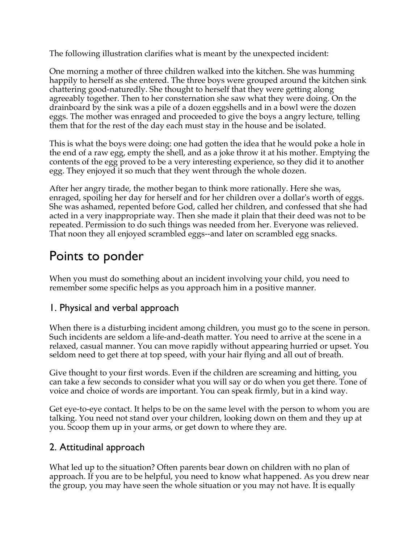The following illustration clarifies what is meant by the unexpected incident:

One morning a mother of three children walked into the kitchen. She was humming happily to herself as she entered. The three boys were grouped around the kitchen sink chattering good-naturedly. She thought to herself that they were getting along agreeably together. Then to her consternation she saw what they were doing. On the drainboard by the sink was a pile of a dozen eggshells and in a bowl were the dozen eggs. The mother was enraged and proceeded to give the boys a angry lecture, telling them that for the rest of the day each must stay in the house and be isolated.

This is what the boys were doing: one had gotten the idea that he would poke a hole in the end of a raw egg, empty the shell, and as a joke throw it at his mother. Emptying the contents of the egg proved to be a very interesting experience, so they did it to another egg. They enjoyed it so much that they went through the whole dozen.

After her angry tirade, the mother began to think more rationally. Here she was, enraged, spoiling her day for herself and for her children over a dollar's worth of eggs. She was ashamed, repented before God, called her children, and confessed that she had acted in a very inappropriate way. Then she made it plain that their deed was not to be repeated. Permission to do such things was needed from her. Everyone was relieved. That noon they all enjoyed scrambled eggs--and later on scrambled egg snacks.

## Points to ponder

When you must do something about an incident involving your child, you need to remember some specific helps as you approach him in a positive manner.

### 1. Physical and verbal approach

When there is a disturbing incident among children, you must go to the scene in person. Such incidents are seldom a life-and-death matter. You need to arrive at the scene in a relaxed, casual manner. You can move rapidly without appearing hurried or upset. You seldom need to get there at top speed, with your hair flying and all out of breath.

Give thought to your first words. Even if the children are screaming and hitting, you can take a few seconds to consider what you will say or do when you get there. Tone of voice and choice of words are important. You can speak firmly, but in a kind way.

Get eye-to-eye contact. It helps to be on the same level with the person to whom you are talking. You need not stand over your children, looking down on them and they up at you. Scoop them up in your arms, or get down to where they are.

### 2. Attitudinal approach

What led up to the situation? Often parents bear down on children with no plan of approach. If you are to be helpful, you need to know what happened. As you drew near the group, you may have seen the whole situation or you may not have. It is equally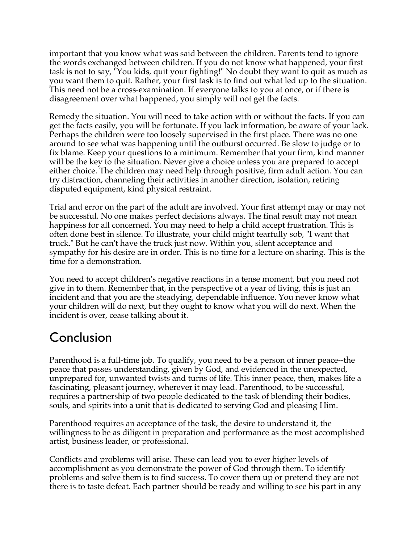important that you know what was said between the children. Parents tend to ignore the words exchanged between children. If you do not know what happened, your first task is not to say, "You kids, quit your fighting!" No doubt they want to quit as much as you want them to quit. Rather, your first task is to find out what led up to the situation. This need not be a cross-examination. If everyone talks to you at once, or if there is disagreement over what happened, you simply will not get the facts.

Remedy the situation. You will need to take action with or without the facts. If you can get the facts easily, you will be fortunate. If you lack information, be aware of your lack. Perhaps the children were too loosely supervised in the first place. There was no one around to see what was happening until the outburst occurred. Be slow to judge or to fix blame. Keep your questions to a minimum. Remember that your firm, kind manner will be the key to the situation. Never give a choice unless you are prepared to accept either choice. The children may need help through positive, firm adult action. You can try distraction, channeling their activities in another direction, isolation, retiring disputed equipment, kind physical restraint.

Trial and error on the part of the adult are involved. Your first attempt may or may not be successful. No one makes perfect decisions always. The final result may not mean happiness for all concerned. You may need to help a child accept frustration. This is often done best in silence. To illustrate, your child might tearfully sob, "I want that truck." But he can't have the truck just now. Within you, silent acceptance and sympathy for his desire are in order. This is no time for a lecture on sharing. This is the time for a demonstration.

You need to accept children's negative reactions in a tense moment, but you need not give in to them. Remember that, in the perspective of a year of living, this is just an incident and that you are the steadying, dependable influence. You never know what your children will do next, but they ought to know what you will do next. When the incident is over, cease talking about it.

## Conclusion

Parenthood is a full-time job. To qualify, you need to be a person of inner peace--the peace that passes understanding, given by God, and evidenced in the unexpected, unprepared for, unwanted twists and turns of life. This inner peace, then, makes life a fascinating, pleasant journey, wherever it may lead. Parenthood, to be successful, requires a partnership of two people dedicated to the task of blending their bodies, souls, and spirits into a unit that is dedicated to serving God and pleasing Him.

Parenthood requires an acceptance of the task, the desire to understand it, the willingness to be as diligent in preparation and performance as the most accomplished artist, business leader, or professional.

Conflicts and problems will arise. These can lead you to ever higher levels of accomplishment as you demonstrate the power of God through them. To identify problems and solve them is to find success. To cover them up or pretend they are not there is to taste defeat. Each partner should be ready and willing to see his part in any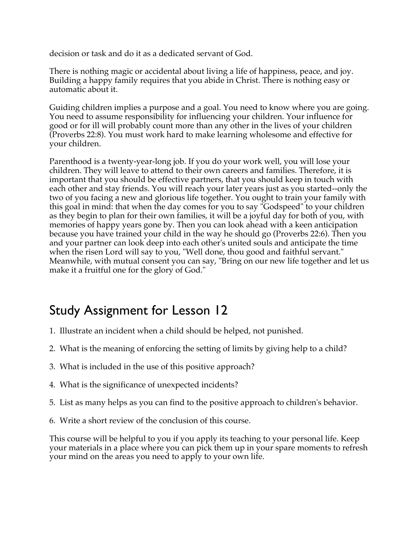decision or task and do it as a dedicated servant of God.

There is nothing magic or accidental about living a life of happiness, peace, and joy. Building a happy family requires that you abide in Christ. There is nothing easy or automatic about it.

Guiding children implies a purpose and a goal. You need to know where you are going. You need to assume responsibility for influencing your children. Your influence for good or for ill will probably count more than any other in the lives of your children (Proverbs 22:8). You must work hard to make learning wholesome and effective for your children.

Parenthood is a twenty-year-long job. If you do your work well, you will lose your children. They will leave to attend to their own careers and families. Therefore, it is important that you should be effective partners, that you should keep in touch with each other and stay friends. You will reach your later years just as you started--only the two of you facing a new and glorious life together. You ought to train your family with this goal in mind: that when the day comes for you to say "Godspeed" to your children as they begin to plan for their own families, it will be a joyful day for both of you, with memories of happy years gone by. Then you can look ahead with a keen anticipation because you have trained your child in the way he should go (Proverbs 22:6). Then you and your partner can look deep into each other's united souls and anticipate the time when the risen Lord will say to you, "Well done, thou good and faithful servant." Meanwhile, with mutual consent you can say, "Bring on our new life together and let us make it a fruitful one for the glory of God."

## Study Assignment for Lesson 12

- 1. Illustrate an incident when a child should be helped, not punished.
- 2. What is the meaning of enforcing the setting of limits by giving help to a child?
- 3. What is included in the use of this positive approach?
- 4. What is the significance of unexpected incidents?
- 5. List as many helps as you can find to the positive approach to children's behavior.
- 6. Write a short review of the conclusion of this course.

This course will be helpful to you if you apply its teaching to your personal life. Keep your materials in a place where you can pick them up in your spare moments to refresh your mind on the areas you need to apply to your own life.